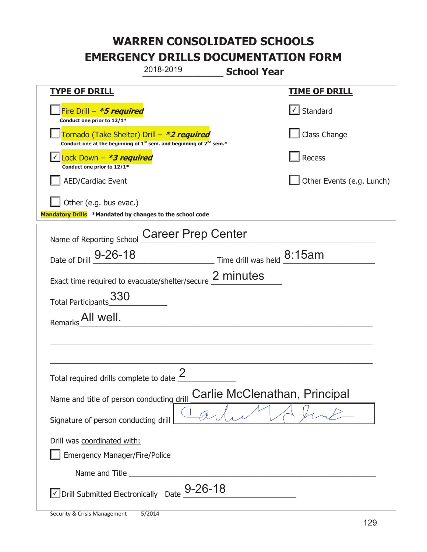## **WARREN CONSOLIDATED SCHOOLS EMERGENCY DRILLS DOCUMENTATION FORM**

|                                                                                    | 2018-2019                                                                                   | <b>School Year</b>                                   |  |  |
|------------------------------------------------------------------------------------|---------------------------------------------------------------------------------------------|------------------------------------------------------|--|--|
| <b>TYPE OF DRILL</b>                                                               |                                                                                             | <u>TIME OF DRILL</u>                                 |  |  |
| Fire Drill - *5 required<br>Conduct one prior to 12/1*                             |                                                                                             | $\lfloor$ Standard                                   |  |  |
| Tornado (Take Shelter) Drill – *2 required                                         | Conduct one at the beginning of 1 <sup>st</sup> sem. and beginning of 2 <sup>nd</sup> sem.* | Class Change                                         |  |  |
| Lock Down – <i>*<b>3 required</b></i><br>Conduct one prior to 12/1*                |                                                                                             | Recess                                               |  |  |
| <b>AED/Cardiac Event</b>                                                           |                                                                                             | Other Events (e.g. Lunch)                            |  |  |
| Other (e.g. bus evac.)<br>Mandatory Drills *Mandated by changes to the school code |                                                                                             |                                                      |  |  |
| Name of Reporting School                                                           | <b>Career Prep Center</b>                                                                   |                                                      |  |  |
| Date of Drill 9-26-18                                                              |                                                                                             | $\frac{1}{2}$ Time drill was held $\frac{8:15am}{2}$ |  |  |
|                                                                                    | Exact time required to evacuate/shelter/secure 2 minutes                                    |                                                      |  |  |
| Total Participants 330                                                             |                                                                                             |                                                      |  |  |
| All well.<br>Remarks                                                               |                                                                                             |                                                      |  |  |
|                                                                                    |                                                                                             |                                                      |  |  |
|                                                                                    |                                                                                             |                                                      |  |  |
| Total required drills complete to date $\frac{2}{3}$                               |                                                                                             |                                                      |  |  |
| Carlie McClenathan, Principal<br>Name and title of person conducting drill         |                                                                                             |                                                      |  |  |
| Signature of person conducting drill                                               |                                                                                             |                                                      |  |  |
| Drill was coordinated with:<br><b>Emergency Manager/Fire/Police</b>                |                                                                                             |                                                      |  |  |
|                                                                                    |                                                                                             |                                                      |  |  |
| √ Drill Submitted Electronically Date                                              | $9 - 26 - 18$                                                                               |                                                      |  |  |

T